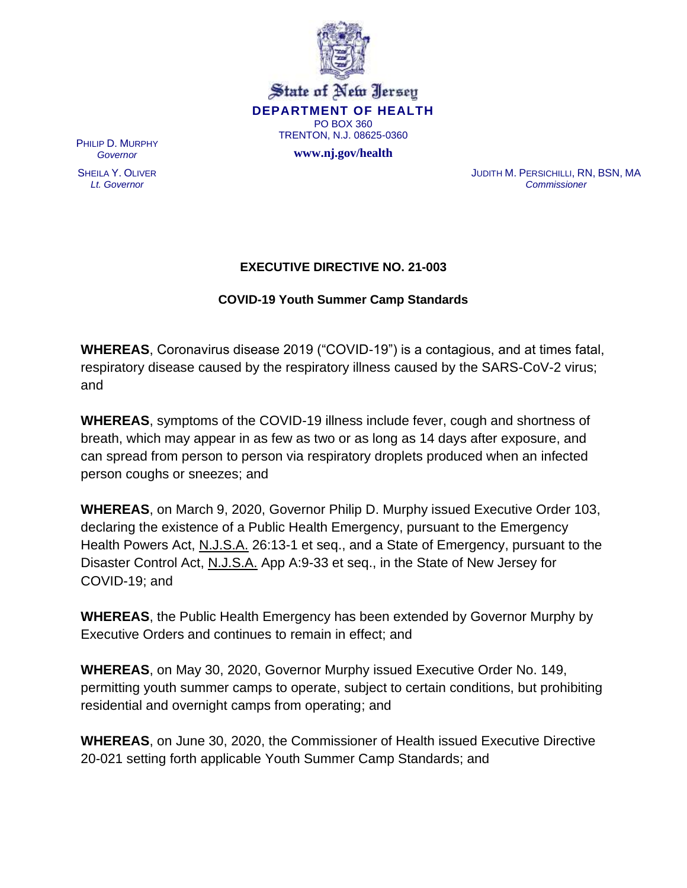

State of New Jersey **DEPARTMENT OF HEALTH** PO BOX 360 TRENTON, N.J. 08625-0360

**www.nj.gov/health**

PHILIP D. MURPHY *Governor*

SHEILA Y. OLIVER *Lt. Governor*

JUDITH M. PERSICHILLI, RN, BSN, MA *Commissioner*

## **EXECUTIVE DIRECTIVE NO. 21-003**

## **COVID-19 Youth Summer Camp Standards**

**WHEREAS**, Coronavirus disease 2019 ("COVID-19") is a contagious, and at times fatal, respiratory disease caused by the respiratory illness caused by the SARS-CoV-2 virus; and

**WHEREAS**, symptoms of the COVID-19 illness include fever, cough and shortness of breath, which may appear in as few as two or as long as 14 days after exposure, and can spread from person to person via respiratory droplets produced when an infected person coughs or sneezes; and

**WHEREAS**, on March 9, 2020, Governor Philip D. Murphy issued Executive Order 103, declaring the existence of a Public Health Emergency, pursuant to the Emergency Health Powers Act, N.J.S.A. 26:13-1 et seq., and a State of Emergency, pursuant to the Disaster Control Act, N.J.S.A. App A:9-33 et seq., in the State of New Jersey for COVID-19; and

**WHEREAS**, the Public Health Emergency has been extended by Governor Murphy by Executive Orders and continues to remain in effect; and

**WHEREAS**, on May 30, 2020, Governor Murphy issued Executive Order No. 149, permitting youth summer camps to operate, subject to certain conditions, but prohibiting residential and overnight camps from operating; and

**WHEREAS**, on June 30, 2020, the Commissioner of Health issued Executive Directive 20-021 setting forth applicable Youth Summer Camp Standards; and